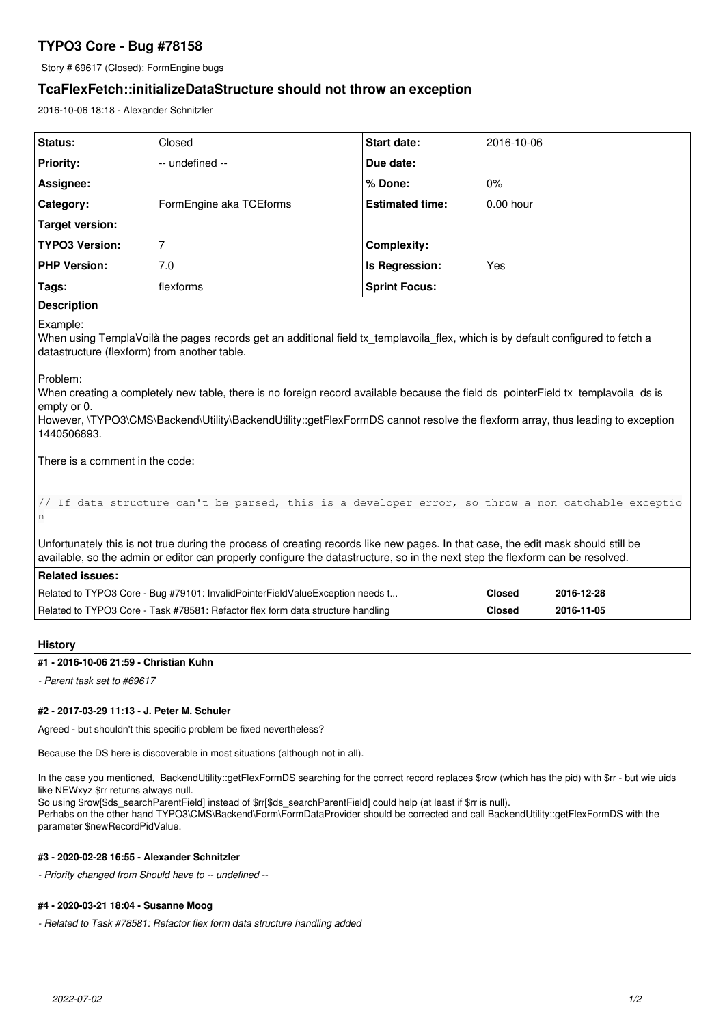# **TYPO3 Core - Bug #78158**

Story # 69617 (Closed): FormEngine bugs

# **TcaFlexFetch::initializeDataStructure should not throw an exception**

2016-10-06 18:18 - Alexander Schnitzler

| Status:               | Closed                  | <b>Start date:</b>     | 2016-10-06  |
|-----------------------|-------------------------|------------------------|-------------|
| <b>Priority:</b>      | -- undefined --         | Due date:              |             |
| Assignee:             |                         | % Done:                | $0\%$       |
| Category:             | FormEngine aka TCEforms | <b>Estimated time:</b> | $0.00$ hour |
| Target version:       |                         |                        |             |
| <b>TYPO3 Version:</b> |                         | <b>Complexity:</b>     |             |
| <b>PHP Version:</b>   | 7.0                     | Is Regression:         | Yes         |
| Tags:                 | flexforms               | <b>Sprint Focus:</b>   |             |
| <b>Description</b>    |                         |                        |             |

Example:

When using TemplaVoilà the pages records get an additional field tx\_templavoila\_flex, which is by default configured to fetch a datastructure (flexform) from another table.

Problem:

When creating a completely new table, there is no foreign record available because the field ds\_pointerField tx\_templavoila\_ds is empty or 0.

However, \TYPO3\CMS\Backend\Utility\BackendUtility::getFlexFormDS cannot resolve the flexform array, thus leading to exception 1440506893.

There is a comment in the code:

```
// If data structure can't be parsed, this is a developer error, so throw a non catchable exceptio
n
```
Unfortunately this is not true during the process of creating records like new pages. In that case, the edit mask should still be available, so the admin or editor can properly configure the datastructure, so in the next step the flexform can be resolved.

| <b>Related issues:</b>                                                          |               |            |  |  |  |
|---------------------------------------------------------------------------------|---------------|------------|--|--|--|
| Related to TYPO3 Core - Bug #79101: InvalidPointerFieldValueException needs t   | Closed        | 2016-12-28 |  |  |  |
| Related to TYPO3 Core - Task #78581: Refactor flex form data structure handling | <b>Closed</b> | 2016-11-05 |  |  |  |

## **History**

#### **#1 - 2016-10-06 21:59 - Christian Kuhn**

*- Parent task set to #69617*

### **#2 - 2017-03-29 11:13 - J. Peter M. Schuler**

Agreed - but shouldn't this specific problem be fixed nevertheless?

Because the DS here is discoverable in most situations (although not in all).

In the case you mentioned, BackendUtility::getFlexFormDS searching for the correct record replaces \$row (which has the pid) with \$rr - but wie uids like NEWxyz \$rr returns always null.

So using \$row[\$ds\_searchParentField] instead of \$rr[\$ds\_searchParentField] could help (at least if \$rr is null).

Perhabs on the other hand TYPO3\CMS\Backend\Form\FormDataProvider should be corrected and call BackendUtility::getFlexFormDS with the parameter \$newRecordPidValue.

### **#3 - 2020-02-28 16:55 - Alexander Schnitzler**

*- Priority changed from Should have to -- undefined --*

#### **#4 - 2020-03-21 18:04 - Susanne Moog**

*- Related to Task #78581: Refactor flex form data structure handling added*